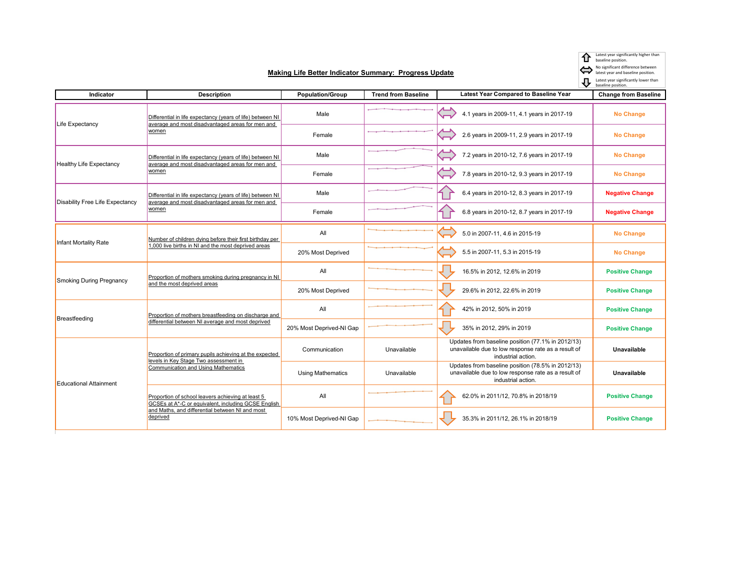Latest year significantly higher than baseline position.

No significant difference between latest year and baseline position.

Latest year significantly lower than baseline position.

| Indicator                              | <b>Description</b>                                                                                                                            | <b>Population/Group</b>  | <b>Trend from Baseline</b> | <b>Latest Year Compared to Baseline Year</b>                                                                                   | <b>Change from Baseline</b> |
|----------------------------------------|-----------------------------------------------------------------------------------------------------------------------------------------------|--------------------------|----------------------------|--------------------------------------------------------------------------------------------------------------------------------|-----------------------------|
| Life Expectancy                        | Differential in life expectancy (years of life) between NI<br>average and most disadvantaged areas for men and<br>women                       | Male                     |                            | 4.1 years in 2009-11, 4.1 years in 2017-19                                                                                     | <b>No Change</b>            |
|                                        |                                                                                                                                               | Female                   |                            | 2.6 years in 2009-11, 2.9 years in 2017-19                                                                                     | <b>No Change</b>            |
| <b>Healthy Life Expectancy</b>         | Differential in life expectancy (years of life) between NI<br>average and most disadvantaged areas for men and<br><u>women</u>                | Male                     |                            | $\widetilde{\phantom{aa}}$<br>7.2 years in 2010-12, 7.6 years in 2017-19                                                       | <b>No Change</b>            |
|                                        |                                                                                                                                               | Female                   |                            | 7.8 years in 2010-12, 9.3 years in 2017-19                                                                                     | <b>No Change</b>            |
| <b>Disability Free Life Expectancy</b> | Differential in life expectancy (years of life) between NI<br>average and most disadvantaged areas for men and<br>women                       | Male                     |                            | 6.4 years in 2010-12, 8.3 years in 2017-19                                                                                     | <b>Negative Change</b>      |
|                                        |                                                                                                                                               | Female                   |                            | 6.8 years in 2010-12, 8.7 years in 2017-19                                                                                     | <b>Negative Change</b>      |
| Infant Mortality Rate                  | Number of children dving before their first birthday per<br>.000 live births in NI and the most deprived areas                                | All                      |                            | 5.0 in 2007-11, 4.6 in 2015-19                                                                                                 | <b>No Change</b>            |
|                                        |                                                                                                                                               | 20% Most Deprived        |                            | 5.5 in 2007-11, 5.3 in 2015-19                                                                                                 | <b>No Change</b>            |
| <b>Smoking During Pregnancy</b>        | Proportion of mothers smoking during pregnancy in NI<br>and the most deprived areas                                                           | All                      |                            | 16.5% in 2012, 12.6% in 2019                                                                                                   | <b>Positive Change</b>      |
|                                        |                                                                                                                                               | 20% Most Deprived        |                            | 29.6% in 2012, 22.6% in 2019                                                                                                   | <b>Positive Change</b>      |
| Breastfeeding                          | Proportion of mothers breastfeeding on discharge and<br>differential between NI average and most deprived                                     | All                      |                            | 42% in 2012, 50% in 2019                                                                                                       | <b>Positive Change</b>      |
|                                        |                                                                                                                                               | 20% Most Deprived-NI Gap |                            | 35% in 2012, 29% in 2019                                                                                                       | <b>Positive Change</b>      |
| <b>Educational Attainment</b>          | Proportion of primary pupils achieving at the expected<br>levels in Key Stage Two assessment in<br><b>Communication and Using Mathematics</b> | Communication            | Unavailable                | Updates from baseline position (77.1% in 2012/13)<br>unavailable due to low response rate as a result of<br>industrial action. | <b>Unavailable</b>          |
|                                        |                                                                                                                                               | <b>Using Mathematics</b> | Unavailable                | Updates from baseline position (78.5% in 2012/13)<br>unavailable due to low response rate as a result of<br>industrial action. | Unavailable                 |
|                                        | Proportion of school leavers achieving at least 5<br>GCSEs at A*-C or equivalent, including GCSE English                                      | All                      |                            | 62.0% in 2011/12, 70.8% in 2018/19                                                                                             | <b>Positive Change</b>      |
|                                        | and Maths, and differential between NI and most<br>deprived                                                                                   | 10% Most Deprived-NI Gan |                            | 35 3% in 2011/12 26 1% in 2018/19                                                                                              | <b>Positive Change</b>      |

10% Most Deprived-NI Gap **10% In 2011/12, 26.1% in 2011/12**, 26.1% in 2018/19 **Positive Change** 

**Making Life Better Indicator Summary: Progress Update**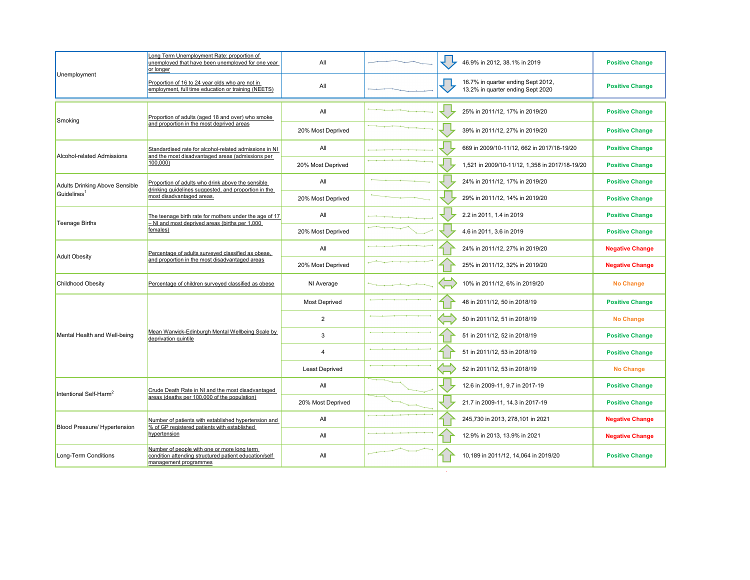|                                                  | Long Term Unemployment Rate: proportion of<br>unemployed that have been unemployed for one year<br>or longer                                            | All                   |        | 46.9% in 2012, 38.1% in 2019                                            | <b>Positive Change</b> |
|--------------------------------------------------|---------------------------------------------------------------------------------------------------------------------------------------------------------|-----------------------|--------|-------------------------------------------------------------------------|------------------------|
| Unemployment                                     | Proportion of 16 to 24 year olds who are not in<br>employment, full time education or training (NEETS)                                                  | All                   |        | 16.7% in quarter ending Sept 2012,<br>13.2% in quarter ending Sept 2020 | <b>Positive Change</b> |
|                                                  | Proportion of adults (aged 18 and over) who smoke                                                                                                       | All                   |        | 25% in 2011/12, 17% in 2019/20                                          | <b>Positive Change</b> |
| Smoking<br><b>Alcohol-related Admissions</b>     | and proportion in the most deprived areas<br>Standardised rate for alcohol-related admissions in NI<br>and the most disadvantaged areas (admissions per | 20% Most Deprived     |        | 39% in 2011/12, 27% in 2019/20                                          | <b>Positive Change</b> |
|                                                  |                                                                                                                                                         | All                   |        | 669 in 2009/10-11/12, 662 in 2017/18-19/20                              | <b>Positive Change</b> |
| <b>Adults Drinking Above Sensible</b>            | 100,000)<br>Proportion of adults who drink above the sensible<br>drinking guidelines suggested, and proportion in the                                   | 20% Most Deprived     |        | 1,521 in 2009/10-11/12, 1,358 in 2017/18-19/20                          | <b>Positive Change</b> |
|                                                  |                                                                                                                                                         | All                   |        | 24% in 2011/12, 17% in 2019/20                                          | <b>Positive Change</b> |
| Guidelines <sup>1</sup><br><b>Teenage Births</b> | most disadvantaged areas.<br>The teenage birth rate for mothers under the age of 17<br>- NI and most deprived areas (births per 1,000                   | 20% Most Deprived     |        | 29% in 2011/12, 14% in 2019/20                                          | <b>Positive Change</b> |
|                                                  |                                                                                                                                                         | All                   |        | 2.2 in 2011, 1.4 in 2019                                                | <b>Positive Change</b> |
| <b>Adult Obesity</b>                             | females)<br>Percentage of adults surveyed classified as obese,                                                                                          | 20% Most Deprived     |        | 4.6 in 2011, 3.6 in 2019                                                | <b>Positive Change</b> |
|                                                  |                                                                                                                                                         | All                   |        | 24% in 2011/12, 27% in 2019/20                                          | <b>Negative Change</b> |
|                                                  | and proportion in the most disadvantaged areas                                                                                                          | 20% Most Deprived     |        | 25% in 2011/12, 32% in 2019/20                                          | <b>Negative Change</b> |
| <b>Childhood Obesity</b>                         | Percentage of children surveyed classified as obese                                                                                                     | NI Average            |        | 10% in 2011/12, 6% in 2019/20                                           | <b>No Change</b>       |
|                                                  |                                                                                                                                                         | Most Deprived         |        | 48 in 2011/12, 50 in 2018/19                                            | <b>Positive Change</b> |
| Mental Health and Well-being                     | Mean Warwick-Edinburgh Mental Wellbeing Scale by<br>deprivation quintile                                                                                | $\overline{2}$        |        | 50 in 2011/12, 51 in 2018/19                                            | <b>No Change</b>       |
|                                                  |                                                                                                                                                         | 3                     |        | 51 in 2011/12, 52 in 2018/19                                            | <b>Positive Change</b> |
|                                                  |                                                                                                                                                         | $\overline{4}$        |        | 51 in 2011/12, 53 in 2018/19                                            | <b>Positive Change</b> |
| Intentional Self-Harm <sup>2</sup>               | Crude Death Rate in NI and the most disadvantaged                                                                                                       | <b>Least Deprived</b> |        | 52 in 2011/12, 53 in 2018/19                                            | <b>No Change</b>       |
|                                                  |                                                                                                                                                         | All                   |        | 12.6 in 2009-11, 9.7 in 2017-19                                         | <b>Positive Change</b> |
|                                                  | areas (deaths per 100,000 of the population)                                                                                                            | 20% Most Deprived     |        | 21.7 in 2009-11, 14.3 in 2017-19                                        | <b>Positive Change</b> |
| Blood Pressure/ Hypertension                     | Number of patients with established hypertension and<br>% of GP registered patients with established                                                    | All                   |        | 245,730 in 2013, 278,101 in 2021                                        | <b>Negative Change</b> |
|                                                  | hypertension                                                                                                                                            | All                   |        | 12.9% in 2013, 13.9% in 2021                                            | <b>Negative Change</b> |
| Long-Term Conditions                             | Number of people with one or more long term<br>condition attending structured patient education/self<br>management programmes                           | All                   | $\sim$ | 10,189 in 2011/12, 14,064 in 2019/20                                    | <b>Positive Change</b> |